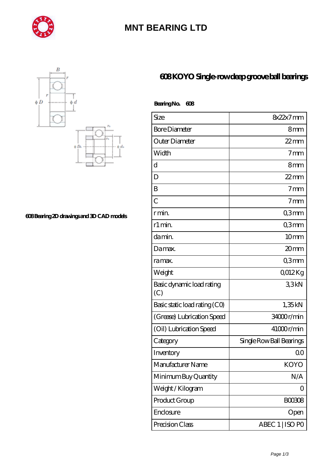

## **[MNT BEARING LTD](https://centribenessereinlazio.com)**



**[608 Bearing 2D drawings and 3D CAD models](https://centribenessereinlazio.com/pic-977999.html)**

## **[608 KOYO Single-row deep groove ball bearings](https://centribenessereinlazio.com/full-complement-cylindrical-roller-bearings/608.html)**

 **Bearing No. 608**

| Size                             | $8x22x7$ mm              |
|----------------------------------|--------------------------|
| <b>Bore Diameter</b>             | 8 <sub>mm</sub>          |
| Outer Diameter                   | $22$ mm                  |
| Width                            | 7 <sub>mm</sub>          |
| d                                | 8 <sub>mm</sub>          |
| D                                | $22$ mm                  |
| B                                | $7 \text{mm}$            |
| C                                | $7 \text{mm}$            |
| r min.                           | Q3mm                     |
| r1 min.                          | Q3mm                     |
| da min.                          | 10 <sub>mm</sub>         |
| Damax.                           | 20 <sub>mm</sub>         |
| ra max.                          | Q3mm                     |
| Weight                           | Q012Kg                   |
| Basic dynamic load rating<br>(C) | 33kN                     |
| Basic static load rating (CO)    | 1,35kN                   |
| (Grease) Lubrication Speed       | 34000r/min               |
| (Oil) Lubrication Speed          | 41000r/min               |
| Category                         | Single Row Ball Bearings |
| Inventory                        | QΟ                       |
| Manufacturer Name                | <b>KOYO</b>              |
| Minimum Buy Quantity             | N/A                      |
| Weight / Kilogram                | Ω                        |
| Product Group                    | <b>BOO3O8</b>            |
| Enclosure                        | Open                     |
| Precision Class                  | ABEC 1   ISO PO          |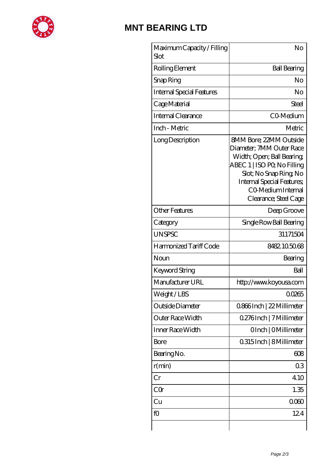

## **[MNT BEARING LTD](https://centribenessereinlazio.com)**

| Maximum Capacity / Filling<br>Slot | No                                                                                                                                                                                                                                  |
|------------------------------------|-------------------------------------------------------------------------------------------------------------------------------------------------------------------------------------------------------------------------------------|
| Rolling Element                    | <b>Ball Bearing</b>                                                                                                                                                                                                                 |
| Snap Ring                          | No                                                                                                                                                                                                                                  |
| <b>Internal Special Features</b>   | No                                                                                                                                                                                                                                  |
| Cage Material                      | <b>Steel</b>                                                                                                                                                                                                                        |
| <b>Internal Clearance</b>          | CO-Medium                                                                                                                                                                                                                           |
| Inch - Metric                      | Metric                                                                                                                                                                                                                              |
| Long Description                   | <b>8MM Bore: 22MM Outside</b><br>Diameter; 7MM Outer Race<br>Width; Open; Ball Bearing;<br>ABEC 1   ISO PQ No Filling<br>Slot; No Snap Ring, No<br><b>Internal Special Features;</b><br>CO Medium Internal<br>Clearance; Steel Cage |
| <b>Other Features</b>              | Deep Groove                                                                                                                                                                                                                         |
| Category                           | Single Row Ball Bearing                                                                                                                                                                                                             |
| <b>UNSPSC</b>                      | 31171504                                                                                                                                                                                                                            |
| Harmonized Tariff Code             | 8482105068                                                                                                                                                                                                                          |
| Noun                               | Bearing                                                                                                                                                                                                                             |
| Keyword String                     | Ball                                                                                                                                                                                                                                |
| Manufacturer URL                   | http://www.koyousa.com                                                                                                                                                                                                              |
| Weight/LBS                         | 00265                                                                                                                                                                                                                               |
| Outside Diameter                   | 0.866Inch   22 Millimeter                                                                                                                                                                                                           |
| Outer Race Width                   | 0.276Inch   7 Millimeter                                                                                                                                                                                                            |
| Inner Race Width                   | OInch   OMillimeter                                                                                                                                                                                                                 |
| Bore                               | 0.315 Inch   8 Millimeter                                                                                                                                                                                                           |
| Bearing No.                        | 608                                                                                                                                                                                                                                 |
| r(min)                             | 03                                                                                                                                                                                                                                  |
| Cr                                 | 4.10                                                                                                                                                                                                                                |
| CQr                                | 1.35                                                                                                                                                                                                                                |
| Cu                                 | 000                                                                                                                                                                                                                                 |
| fO                                 | 124                                                                                                                                                                                                                                 |
|                                    |                                                                                                                                                                                                                                     |